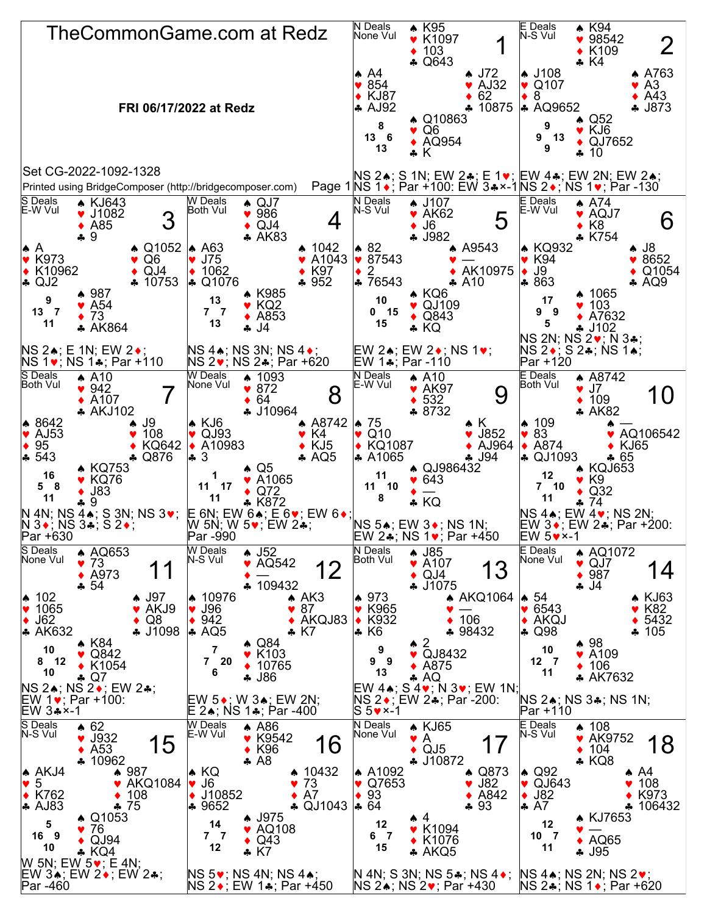